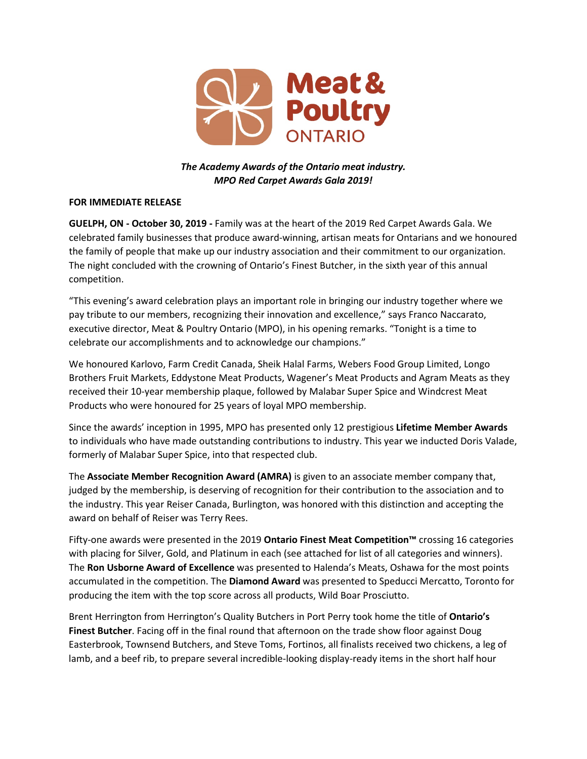

## *The Academy Awards of the Ontario meat industry. MPO Red Carpet Awards Gala 2019!*

## **FOR IMMEDIATE RELEASE**

**GUELPH, ON - October 30, 2019 -** Family was at the heart of the 2019 Red Carpet Awards Gala. We celebrated family businesses that produce award-winning, artisan meats for Ontarians and we honoured the family of people that make up our industry association and their commitment to our organization. The night concluded with the crowning of Ontario's Finest Butcher, in the sixth year of this annual competition.

"This evening's award celebration plays an important role in bringing our industry together where we pay tribute to our members, recognizing their innovation and excellence," says Franco Naccarato, executive director, Meat & Poultry Ontario (MPO), in his opening remarks. "Tonight is a time to celebrate our accomplishments and to acknowledge our champions."

We honoured Karlovo, Farm Credit Canada, Sheik Halal Farms, Webers Food Group Limited, Longo Brothers Fruit Markets, Eddystone Meat Products, Wagener's Meat Products and Agram Meats as they received their 10-year membership plaque, followed by Malabar Super Spice and Windcrest Meat Products who were honoured for 25 years of loyal MPO membership.

Since the awards' inception in 1995, MPO has presented only 12 prestigious **Lifetime Member Awards** to individuals who have made outstanding contributions to industry. This year we inducted Doris Valade, formerly of Malabar Super Spice, into that respected club.

The **Associate Member Recognition Award (AMRA)** is given to an associate member company that, judged by the membership, is deserving of recognition for their contribution to the association and to the industry. This year Reiser Canada, Burlington, was honored with this distinction and accepting the award on behalf of Reiser was Terry Rees.

Fifty-one awards were presented in the 2019 **Ontario Finest Meat Competition™** crossing 16 categories with placing for Silver, Gold, and Platinum in each (see attached for list of all categories and winners). The **Ron Usborne Award of Excellence** was presented to Halenda's Meats, Oshawa for the most points accumulated in the competition. The **Diamond Award** was presented to Speducci Mercatto, Toronto for producing the item with the top score across all products, Wild Boar Prosciutto.

Brent Herrington from Herrington's Quality Butchers in Port Perry took home the title of **Ontario's Finest Butcher**. Facing off in the final round that afternoon on the trade show floor against Doug Easterbrook, Townsend Butchers, and Steve Toms, Fortinos, all finalists received two chickens, a leg of lamb, and a beef rib, to prepare several incredible-looking display-ready items in the short half hour